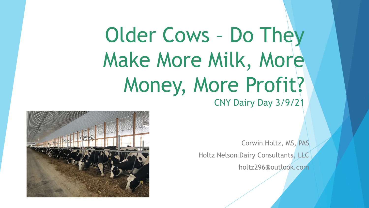# Older Cows – Do They Make More Milk, More Money, More Profit? CNY Dairy Day 3/9/21

Corwin Holtz, MS, PAS Holtz Nelson Dairy Consultants, LLC holtz296@outlook.com

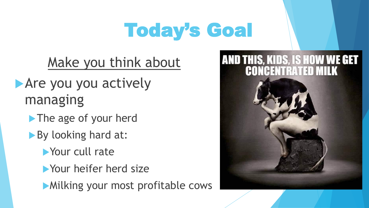# Today's Goal

Make you think about

**Are you you actively** managing

- The age of your herd
- By looking hard at:
	- Your cull rate
	- **Nour heifer herd size**
	- **Milking your most profitable cows**

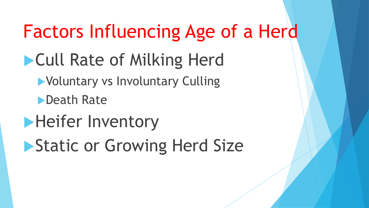# Factors Influencing Age of a Herd

# **Cull Rate of Milking Herd**

Voluntary vs Involuntary Culling

Death Rate

**Heifer Inventory** 

**Static or Growing Herd Size**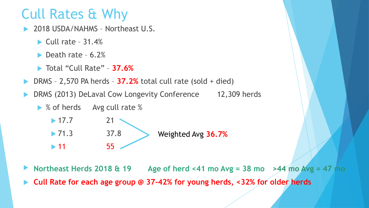### Cull Rates & Why

- 2018 USDA/NAHMS Northeast U.S.
	- $\blacktriangleright$  Cull rate 31.4%
	- $\blacktriangleright$  Death rate 6.2%
	- Total "Cull Rate" **37.6%**
- DRMS 2,570 PA herds **37.2%** total cull rate (sold + died)
- DRMS (2013) DeLaval Cow Longevity Conference 12,309 herds
	- ▶ % of herds Avg cull rate %

 $\blacktriangleright$  17.7 21  $\blacktriangleright$  71.3 37.8  $\blacktriangleright$  11 55 Weighted Avg **36.7%**

- **Northeast Herds 2018 & 19 Age of herd <41 mo Avg = 38 mo >44 mo Avg = 47 mo**
- **Cull Rate for each age group @ 37-42% for young herds, <32% for older herds**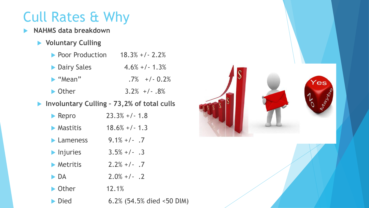### Cull Rates & Why

- **NAHMS data breakdown**
	- **Voluntary Culling**

| ▶ Poor Production            | $18.3\% + 1 - 2.2\%$ |
|------------------------------|----------------------|
| <b>Dairy Sales</b>           | $4.6\% + (-1.3\%)$   |
| $\blacktriangleright$ "Mean" | $.7\%$ +/- 0.2\%     |
| $\triangleright$ Other       | $3.2\%$ +/-.8%       |
|                              |                      |

#### **Involuntary Culling – 73,2% of total culls**

| $\blacktriangleright$ Repro    | $23.3% +1 - 1.8$          |
|--------------------------------|---------------------------|
| $\blacktriangleright$ Mastitis | $18.6\% + (-1.3)$         |
| $\blacktriangleright$ Lameness | $9.1\% + (-7)$            |
| $\blacktriangleright$ Injuries | $3.5\% +/- .3$            |
| $\blacktriangleright$ Metritis | $2.2\% +/- .7$            |
| $\blacktriangleright$ DA       | $2.0\% +/-$ .2            |
| $\triangleright$ Other         | 12.1%                     |
| $\blacktriangleright$ Died     | 6.2% (54.5% died <50 DIM) |

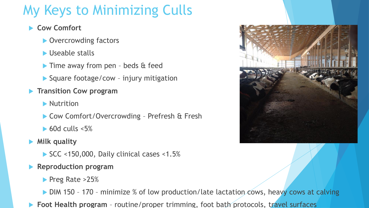### My Keys to Minimizing Culls

#### **Cow Comfort**

- ▶ Overcrowding factors
- Useable stalls
- Time away from pen beds & feed
- ▶ Square footage/cow injury mitigation
- **Transition Cow program**
	- **Nutrition**
	- ▶ Cow Comfort/Overcrowding Prefresh & Fresh
	- $\triangleright$  60d culls <5%
- **Milk quality**
	- SCC <150,000, Daily clinical cases <1.5%
- **Reproduction program**
	- Preg Rate >25%
	- DIM 150 170 minimize % of low production/late lactation cows, heavy cows at calving
- **Foot Health program**  routine/proper trimming, foot bath protocols, travel surfaces

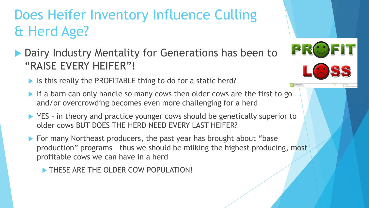### Does Heifer Inventory Influence Culling & Herd Age?

- ▶ Dairy Industry Mentality for Generations has been to "RAISE EVERY HEIFER"!
	- If Is this really the PROFITABLE thing to do for a static herd?
	- If a barn can only handle so many cows then older cows are the first to go and/or overcrowding becomes even more challenging for a herd

PR

- ▶ YES in theory and practice younger cows should be genetically superior to older cows BUT DOES THE HERD NEED EVERY LAST HEIFER?
- For many Northeast producers, the past year has brought about "base" production" programs – thus we should be milking the highest producing, most profitable cows we can have in a herd
	- THESE ARE THE OLDER COW POPULATION!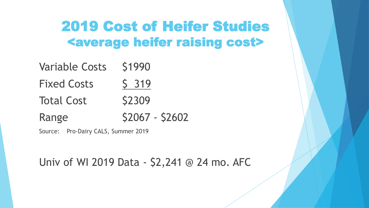#### 2019 Cost of Heifer Studies <average heifer raising cost>

| <b>Variable Costs</b> | S1990           |
|-----------------------|-----------------|
| <b>Fixed Costs</b>    | S 319           |
| <b>Total Cost</b>     | <b>S2309</b>    |
| Range                 | \$2067 - \$2602 |

Source: Pro-Dairy CALS, Summer 2019

Univ of WI 2019 Data - \$2,241 @ 24 mo. AFC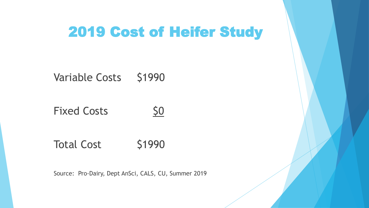#### 2019 Cost of Heifer Study

Variable Costs \$1990

Fixed Costs 50



Total Cost \$1990

Source: Pro-Dairy, Dept AnSci, CALS, CU, Summer 2019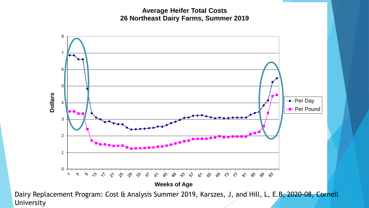**Average Heifer Total Costs 26 Northeast Dairy Farms, Summer 2019**



Dairy Replacement Program: Cost & Analysis Summer 2019, Karszes, J, and Hill, L, E.B, 2020-08, Cornell University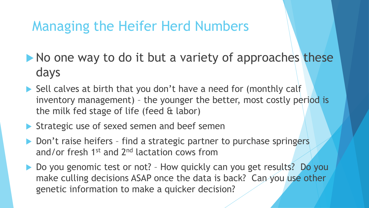#### Managing the Heifer Herd Numbers

- $\blacktriangleright$  No one way to do it but a variety of approaches these days
- ▶ Sell calves at birth that you don't have a need for (monthly calf inventory management) – the younger the better, most costly period is the milk fed stage of life (feed & labor)
- Strategic use of sexed semen and beef semen
- ▶ Don't raise heifers find a strategic partner to purchase springers and/or fresh 1<sup>st</sup> and 2<sup>nd</sup> lactation cows from
- ▶ Do you genomic test or not? How quickly can you get results? Do you make culling decisions ASAP once the data is back? Can you use other genetic information to make a quicker decision?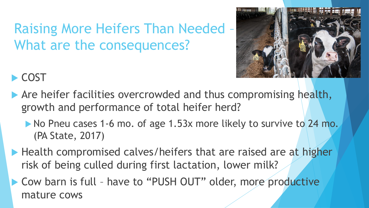### Raising More Heifers Than Needed – What are the consequences?



#### COST<sup></sup>

- Are heifer facilities overcrowded and thus compromising health, growth and performance of total heifer herd?
	- No Pneu cases 1-6 mo. of age 1.53x more likely to survive to 24 mo. (PA State, 2017)
- ▶ Health compromised calves/heifers that are raised are at higher risk of being culled during first lactation, lower milk?
- ▶ Cow barn is full have to "PUSH OUT" older, more productive mature cows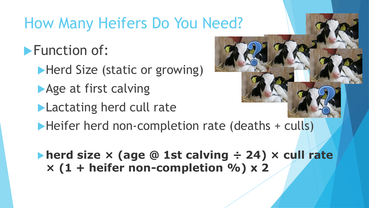### How Many Heifers Do You Need?

**Function of:** 

- Herd Size (static or growing)
- Age at first calving
- **Lactating herd cull rate**



Heifer herd non-completion rate (deaths + culls)

**herd size × (age @ 1st calving ÷ 24) × cull rate × (1 + heifer non-completion %) x 2**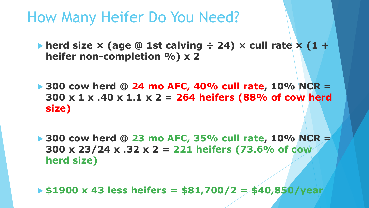### How Many Heifer Do You Need?

- **herd size × (age @ 1st calving ÷ 24) × cull rate × (1 + heifer non-completion %) x 2**
- **300 cow herd @ 24 mo AFC, 40% cull rate, 10% NCR = 300 x 1 x .40 x 1.1 x 2 = 264 heifers (88% of cow herd size)**
- **300 cow herd @ 23 mo AFC, 35% cull rate, 10% NCR = 300 x 23/24 x .32 x 2 = 221 heifers (73.6% of cow herd size)**
- **\$1900 x 43 less heifers = \$81,700/2 = \$40,850/year**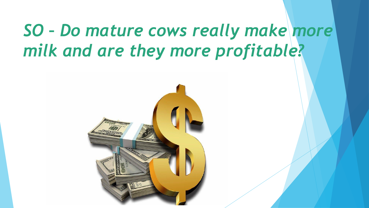## *SO – Do mature cows really make more milk and are they more profitable?*

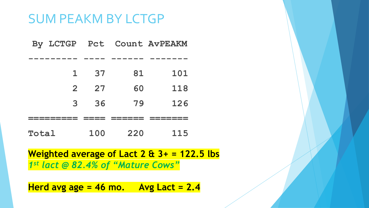#### SUM PEAKM BY LCTGP

|       |                |     |     | By LCTGP Pct Count AvPEAKM |  |
|-------|----------------|-----|-----|----------------------------|--|
|       |                |     |     |                            |  |
|       | $\mathbf{1}$   | 37  | 81  | 101                        |  |
|       | $\overline{2}$ | 27  | 60  | 118                        |  |
|       | 3              | 36  | 79  | 126                        |  |
|       |                |     |     |                            |  |
| Total |                | 100 | 220 | 115                        |  |

**Weighted average of Lact 2 & 3+ = 122.5 lbs** *1 st lact @ 82.4% of "Mature Cows"*

**Herd avg age = 46 mo. Avg Lact = 2.4**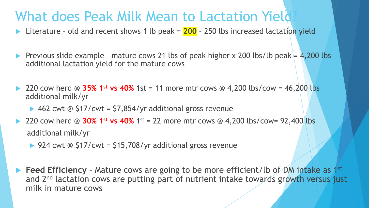#### What does Peak Milk Mean to Lactation Yield

■ Literature - old and recent shows 1 lb peak = 200 - 250 lbs increased lactation yield

Previous slide example - mature cows 21 lbs of peak higher x 200 lbs/lb peak =  $4,200$  lbs additional lactation yield for the mature cows

 220 cow herd @ **35% 1st vs 40%** 1st = 11 more mtr cows @ 4,200 lbs/cow = 46,200 lbs additional milk/yr

 $\blacktriangleright$  462 cwt @ \$17/cwt = \$7,854/yr additional gross revenue

**► 220 cow herd @ 30% 1<sup>st</sup> vs 40%** 1<sup>st</sup> = 22 more mtr cows @ 4,200 lbs/cow= 92,400 lbs additional milk/yr

▶ 924 cwt @  $$17/cwt = $15,708/yr$  additional gross revenue

**Feed Efficiency** - Mature cows are going to be more efficient/lb of DM intake as 1<sup>st</sup> and 2<sup>nd</sup> lactation cows are putting part of nutrient intake towards growth versus just milk in mature cows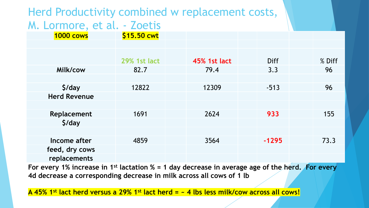#### Herd Productivity combined w replacement costs, M. Lormore, et al. - Zoetis

| 1000 cows           | \$15.50 cwt         |                     |             |        |
|---------------------|---------------------|---------------------|-------------|--------|
|                     |                     |                     |             |        |
|                     |                     |                     |             |        |
|                     | <b>29% 1st lact</b> | <b>45% 1st lact</b> | <b>Diff</b> | % Diff |
| Milk/cow            | 82.7                | 79.4                | 3.3         | 96     |
|                     |                     |                     |             |        |
| $$$ /day            | 12822               | 12309               | $-513$      | 96     |
| <b>Herd Revenue</b> |                     |                     |             |        |
|                     |                     |                     |             |        |
| Replacement         | 1691                | 2624                | 933         | 155    |
| \$/day              |                     |                     |             |        |
|                     |                     |                     |             |        |
| Income after        | 4859                | 3564                | $-1295$     | 73.3   |
| feed, dry cows      |                     |                     |             |        |
| replacements        |                     |                     |             |        |
|                     |                     |                     |             |        |

**For every 1% increase in 1st lactation % = 1 day decrease in average age of the herd. For every 4d decrease a corresponding decrease in milk across all cows of 1 lb** 

**A 45% 1st lact herd versus a 29% 1st lact herd = ~ 4 lbs less milk/cow across all cows!**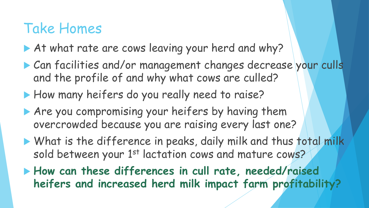### Take Homes

- At what rate are cows leaving your herd and why?
- Can facilities and/or management changes decrease your culls and the profile of and why what cows are culled?
- How many heifers do you really need to raise?
- Are you compromising your heifers by having them overcrowded because you are raising every last one?
- What is the difference in peaks, daily milk and thus total milk sold between your 1<sup>st</sup> lactation cows and mature cows?
- **How can these differences in cull rate, needed/raised heifers and increased herd milk impact farm profitability?**